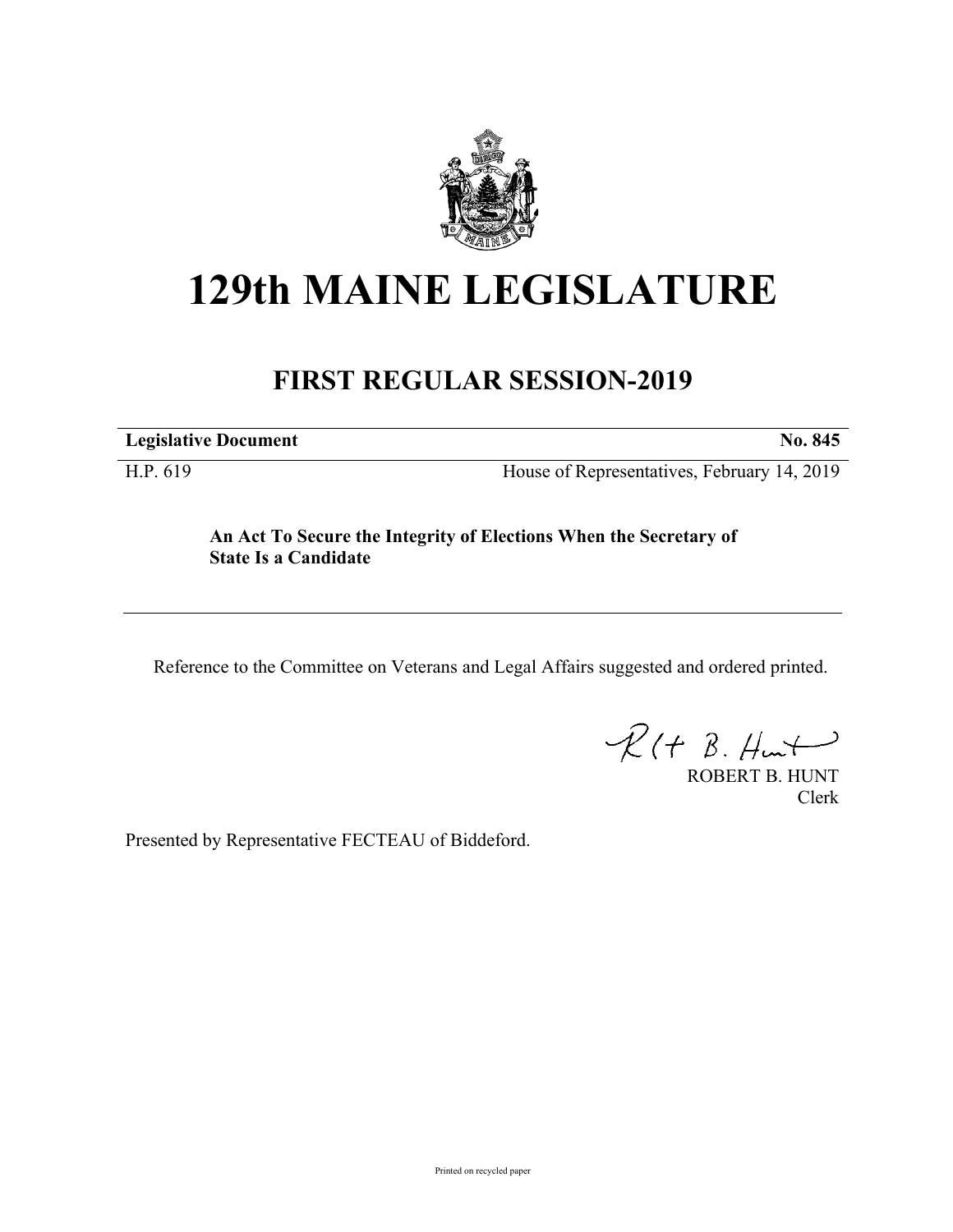

# **129th MAINE LEGISLATURE**

## **FIRST REGULAR SESSION-2019**

**Legislative Document No. 845**

H.P. 619 House of Representatives, February 14, 2019

### **An Act To Secure the Integrity of Elections When the Secretary of State Is a Candidate**

Reference to the Committee on Veterans and Legal Affairs suggested and ordered printed.

 $R(H B. H<sub>un</sub>)$ 

ROBERT B. HUNT Clerk

Presented by Representative FECTEAU of Biddeford.